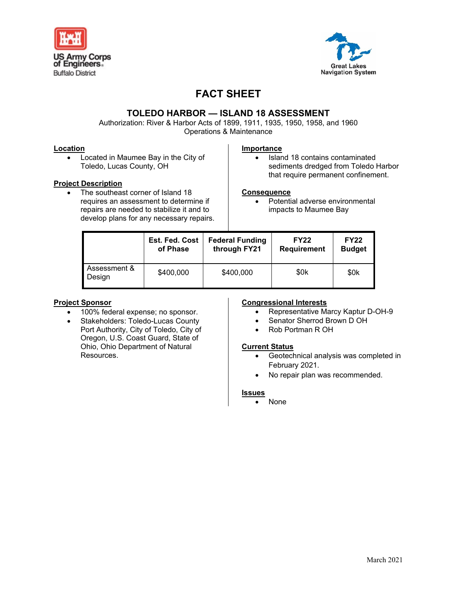



# **FACT SHEET**

### **TOLEDO HARBOR — ISLAND 18 ASSESSMENT**

Authorization: River & Harbor Acts of 1899, 1911, 1935, 1950, 1958, and 1960 Operations & Maintenance

#### **Location**

• Located in Maumee Bay in the City of Toledo, Lucas County, OH

#### **Project Description**

The southeast corner of Island 18 requires an assessment to determine if repairs are needed to stabilize it and to develop plans for any necessary repairs.

#### **Importance**

• Island 18 contains contaminated sediments dredged from Toledo Harbor that require permanent confinement.

#### **Consequence**

• Potential adverse environmental impacts to Maumee Bay

|                        | <b>Est. Fed. Cost</b> | <b>Federal Funding</b> | <b>FY22</b>        | <b>FY22</b>   |
|------------------------|-----------------------|------------------------|--------------------|---------------|
|                        | of Phase              | through FY21           | <b>Requirement</b> | <b>Budget</b> |
| Assessment &<br>Design | \$400,000             | \$400,000              | \$0k               | \$0k          |

#### **Project Sponsor**

- 100% federal expense; no sponsor.
- Stakeholders: Toledo-Lucas County Port Authority, City of Toledo, City of Oregon, U.S. Coast Guard, State of Ohio, Ohio Department of Natural **Resources**

#### **Congressional Interests**

- Representative Marcy Kaptur D-OH-9
- Senator Sherrod Brown D OH
- Rob Portman R OH

#### **Current Status**

- Geotechnical analysis was completed in February 2021.
- No repair plan was recommended.

#### **Issues**

• None